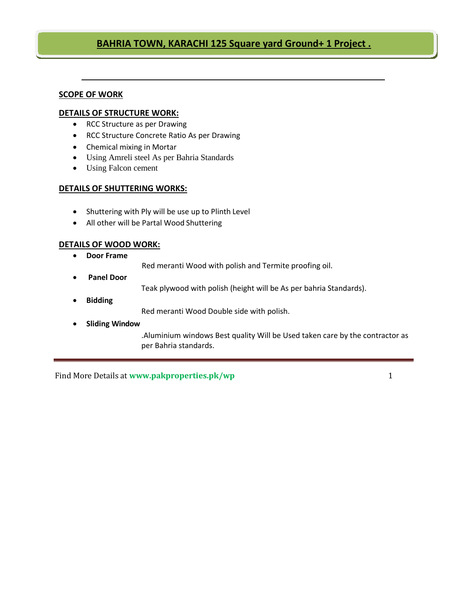### **BAHRIA TOWN, KARACHI 125 Square yard Ground+ 1 Project .**

#### **SCOPE OF WORK**

#### **DETAILS OF STRUCTURE WORK:**

- RCC Structure as per Drawing
- RCC Structure Concrete Ratio As per Drawing
- Chemical mixing in Mortar
- Using Amreli steel As per Bahria Standards
- Using Falcon cement

#### **DETAILS OF SHUTTERING WORKS:**

- Shuttering with Ply will be use up to Plinth Level
- All other will be Partal Wood Shuttering

#### **DETAILS OF WOOD WORK:**

• **Door Frame**

Red meranti Wood with polish and Termite proofing oil.

• **Panel Door**

Teak plywood with polish (height will be As per bahria Standards).

• **Bidding**

Red meranti Wood Double side with polish.

• **Sliding Window**

.Aluminium windows Best quality Will be Used taken care by the contractor as per Bahria standards.

Find More Details at www.pakproperties.pk/wp 1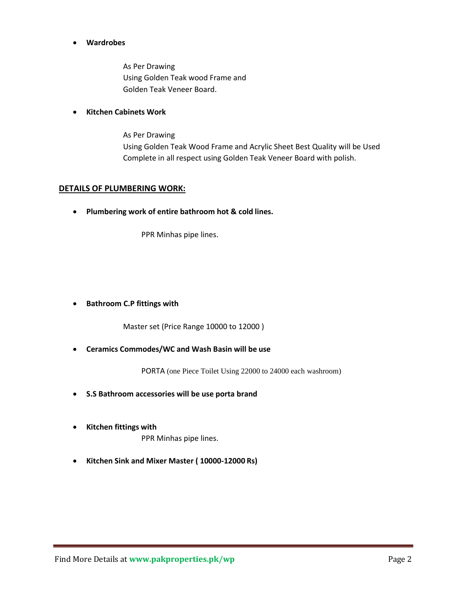#### • **Wardrobes**

As Per Drawing Using Golden Teak wood Frame and Golden Teak Veneer Board.

#### • **Kitchen Cabinets Work**

As Per Drawing Using Golden Teak Wood Frame and Acrylic Sheet Best Quality will be Used Complete in all respect using Golden Teak Veneer Board with polish.

#### **DETAILS OF PLUMBERING WORK:**

• **Plumbering work of entire bathroom hot & cold lines.**

PPR Minhas pipe lines.

#### • **Bathroom C.P fittings with**

Master set (Price Range 10000 to 12000 )

• **Ceramics Commodes/WC and Wash Basin will be use**

PORTA (one Piece Toilet Using 22000 to 24000 each washroom)

- **S.S Bathroom accessories will be use porta brand**
- **Kitchen fittings with** PPR Minhas pipe lines.
- **Kitchen Sink and Mixer Master ( 10000-12000 Rs)**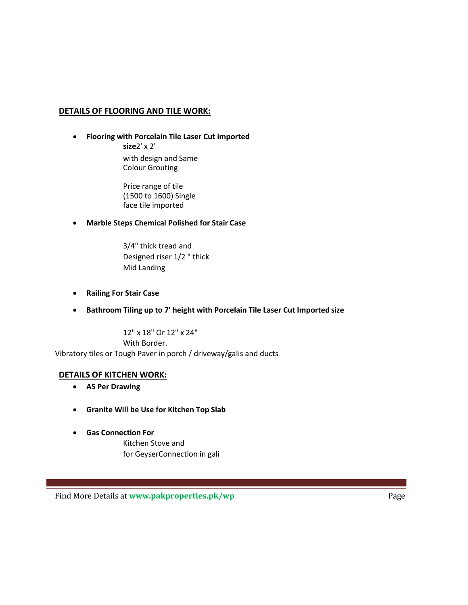#### **DETAILS OF FLOORING AND TILE WORK:**

• **Flooring with Porcelain Tile Laser Cut imported size**2' x 2'

> with design and Same Colour Grouting

Price range of tile (1500 to 1600) Single face tile imported

- **Marble Steps Chemical Polished for Stair Case**
	- 3/4" thick tread and Designed riser 1/2 " thick Mid Landing
- **Railing For Stair Case**
- **Bathroom Tiling up to 7' height with Porcelain Tile Laser Cut Imported size**

12" x 18" Or 12" x 24" With Border. Vibratory tiles or Tough Paver in porch / driveway/galis and ducts

#### **DETAILS OF KITCHEN WORK:**

- **AS Per Drawing**
- **Granite Will be Use for Kitchen Top Slab**
- **Gas Connection For**

Kitchen Stove and for GeyserConnection in gali

Find More Details at www.pakproperties.pk/wp<br>
Page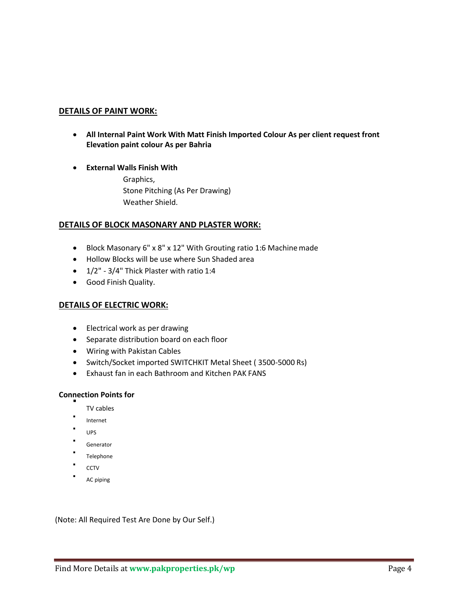#### **DETAILS OF PAINT WORK:**

- **All Internal Paint Work With Matt Finish Imported Colour As per client request front Elevation paint colour As per Bahria**
- **External Walls Finish With**

Graphics, Stone Pitching (As Per Drawing) Weather Shield.

#### **DETAILS OF BLOCK MASONARY AND PLASTER WORK:**

- Block Masonary 6" x 8" x 12" With Grouting ratio 1:6 Machine made
- Hollow Blocks will be use where Sun Shaded area
- 1/2" 3/4" Thick Plaster with ratio 1:4
- Good Finish Quality.

#### **DETAILS OF ELECTRIC WORK:**

- Electrical work as per drawing
- Separate distribution board on each floor
- Wiring with Pakistan Cables
- Switch/Socket imported SWITCHKIT Metal Sheet ( 3500-5000 Rs)
- Exhaust fan in each Bathroom and Kitchen PAK FANS

## **Connection Points for** ▪

- TV cables
- Internet
- UPS
- Generator
- Telephone
- **CCTV**
- AC piping

(Note: All Required Test Are Done by Our Self.)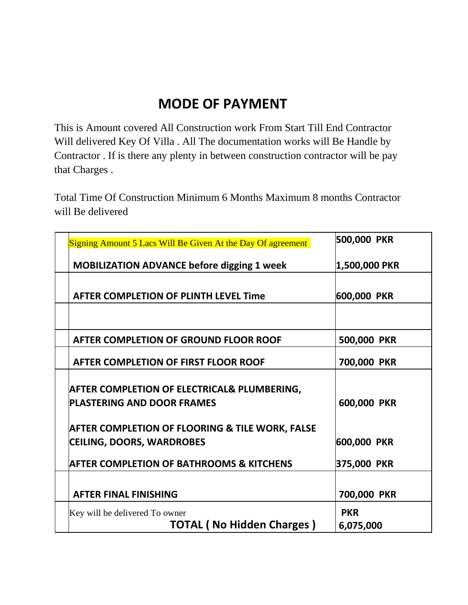# **MODE OF PAYMENT**

This is Amount covered All Construction work From Start Till End Contractor Will delivered Key Of Villa . All The documentation works will Be Handle by Contractor . If is there any plenty in between construction contractor will be pay that Charges .

Total Time Of Construction Minimum 6 Months Maximum 8 months Contractor will Be delivered

| 500,000 PKR   |
|---------------|
| 1,500,000 PKR |
|               |
| 600,000 PKR   |
|               |
| 500,000 PKR   |
| 700,000 PKR   |
|               |
|               |
| 600,000 PKR   |
|               |
| 600,000 PKR   |
| 375,000 PKR   |
|               |
| 700,000 PKR   |
| <b>PKR</b>    |
| 6,075,000     |
|               |